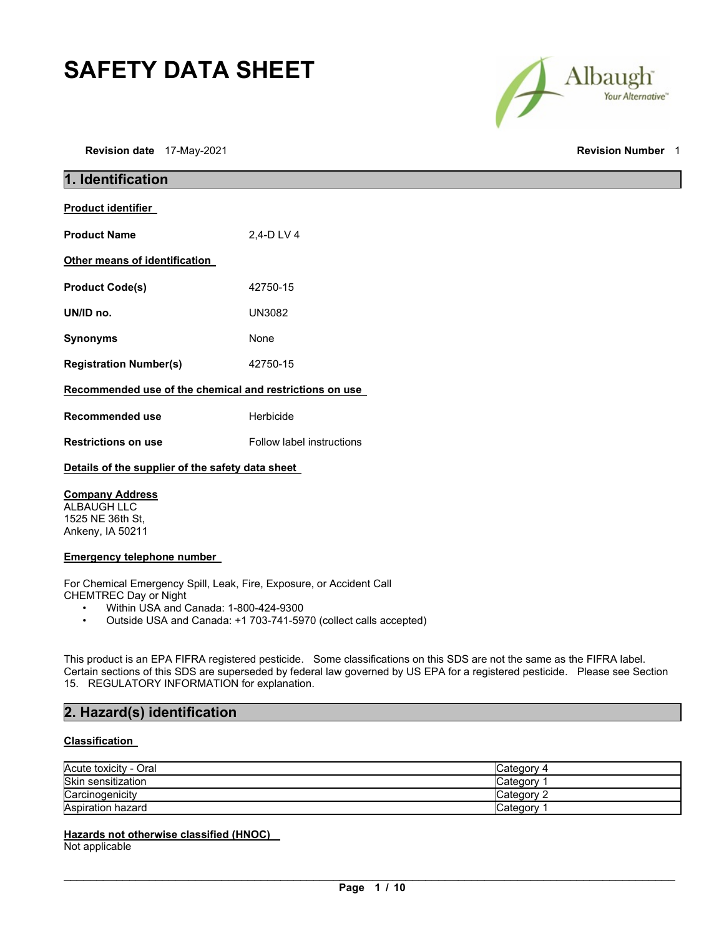# **SAFETY DATA SHEET**

**Revision date** 17-May-2021 **Revision Number** 1

Albaugh Your Alternative"

| 1. Identification                                       |                           |  |
|---------------------------------------------------------|---------------------------|--|
| <b>Product identifier</b>                               |                           |  |
| <b>Product Name</b>                                     | 2.4-D LV 4                |  |
| Other means of identification                           |                           |  |
| <b>Product Code(s)</b>                                  | 42750-15                  |  |
| UN/ID no.                                               | <b>UN3082</b>             |  |
| <b>Synonyms</b>                                         | None                      |  |
| <b>Registration Number(s)</b>                           | 42750-15                  |  |
| Recommended use of the chemical and restrictions on use |                           |  |
| <b>Recommended use</b>                                  | Herbicide                 |  |
| <b>Restrictions on use</b>                              | Follow label instructions |  |
| Details of the supplier of the safety data sheet        |                           |  |

## **Company Address**

ALBAUGH LLC 1525 NE 36th St, Ankeny, IA 50211

## **Emergency telephone number**

For Chemical Emergency Spill, Leak, Fire, Exposure, or Accident Call CHEMTREC Day or Night

- Within USA and Canada: 1-800-424-9300
- Outside USA and Canada: +1 703-741-5970 (collect calls accepted)

This product is an EPA FIFRA registered pesticide. Some classifications on this SDS are not the same as the FIFRA label. Certain sections of this SDS are superseded by federal law governed by US EPA for a registered pesticide. Please see Section 15. REGULATORY INFORMATION for explanation.

## **2. Hazard(s) identification**

## **Classification**

| Acute toxicity - Oral | Category 4 |
|-----------------------|------------|
| Skin sensitization    | Category   |
| Carcinogenicity       | Category 2 |
| Aspiration hazard     | Category   |

## **Hazards not otherwise classified (HNOC)**

Not applicable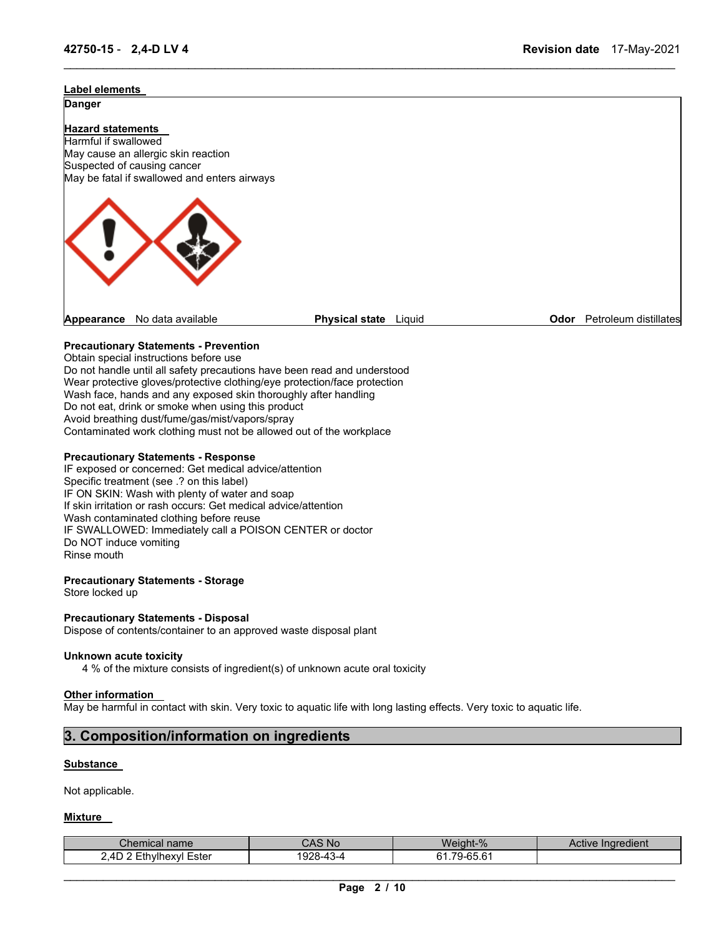# **Label elements Danger Hazard statements**  Harmful if swallowed May cause an allergic skin reaction Suspected of causing cancer May be fatal if swallowed and enters airways **Appearance** No data available **Physical state** Liquid **Odor** Petroleum distillates

\_\_\_\_\_\_\_\_\_\_\_\_\_\_\_\_\_\_\_\_\_\_\_\_\_\_\_\_\_\_\_\_\_\_\_\_\_\_\_\_\_\_\_\_\_\_\_\_\_\_\_\_\_\_\_\_\_\_\_\_\_\_\_\_\_\_\_\_\_\_\_\_\_\_\_\_\_\_\_\_\_\_\_\_\_\_\_\_\_\_\_\_\_

## **Precautionary Statements - Prevention**

Obtain special instructions before use Do not handle until all safety precautions have been read and understood Wear protective gloves/protective clothing/eye protection/face protection Wash face, hands and any exposed skin thoroughly after handling Do not eat, drink or smoke when using this product Avoid breathing dust/fume/gas/mist/vapors/spray Contaminated work clothing must not be allowed out of the workplace

## **Precautionary Statements - Response**

IF exposed or concerned: Get medical advice/attention Specific treatment (see .? on this label) IF ON SKIN: Wash with plenty of water and soap If skin irritation or rash occurs: Get medical advice/attention Wash contaminated clothing before reuse IF SWALLOWED: Immediately call a POISON CENTER or doctor Do NOT induce vomiting Rinse mouth

## **Precautionary Statements - Storage**

Store locked up

## **Precautionary Statements - Disposal**

Dispose of contents/container to an approved waste disposal plant

## **Unknown acute toxicity**

4 % of the mixture consists of ingredient(s) of unknown acute oral toxicity

## **Other information**

May be harmful in contact with skin. Very toxic to aquatic life with long lasting effects. Very toxic to aquatic life.

## **3. Composition/information on ingredients**

## **Substance**

Not applicable.

## **Mixture**

| $\mathcal L$ hemical name   | CAS No    | Weight-%                 | Active Ingredient |
|-----------------------------|-----------|--------------------------|-------------------|
| Ethvlhexvl<br>2.4D<br>Ester | 1928-43-4 | 79-65 61<br>ו ר<br>. טטי |                   |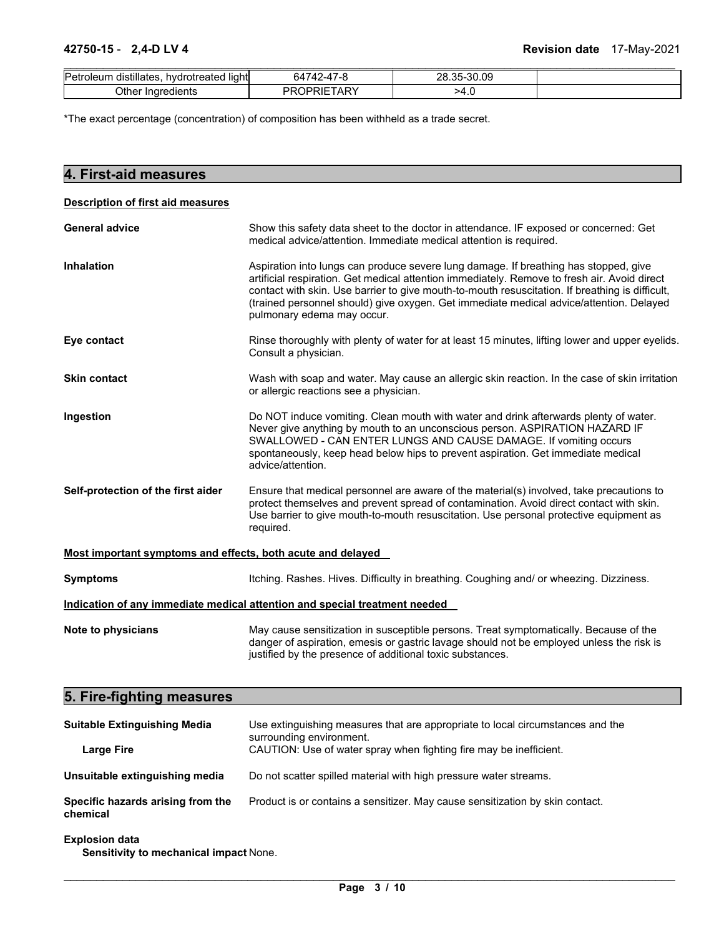| Petroleum<br>$\cdots$<br>≅distillates.<br>hydrotreated light | 64742-47-8              | .35-30.09<br>28 |  |
|--------------------------------------------------------------|-------------------------|-----------------|--|
| Other Ingredients                                            | PROPRIET<br><b>TARY</b> | ⊾.>4            |  |

\*The exact percentage (concentration) of composition has been withheld as a trade secret.

| 4. First-aid measures                                       |                                                                                                                                                                                                                                                                                                                                                                                                                  |  |
|-------------------------------------------------------------|------------------------------------------------------------------------------------------------------------------------------------------------------------------------------------------------------------------------------------------------------------------------------------------------------------------------------------------------------------------------------------------------------------------|--|
| <b>Description of first aid measures</b>                    |                                                                                                                                                                                                                                                                                                                                                                                                                  |  |
| <b>General advice</b>                                       | Show this safety data sheet to the doctor in attendance. IF exposed or concerned: Get<br>medical advice/attention. Immediate medical attention is required.                                                                                                                                                                                                                                                      |  |
| <b>Inhalation</b>                                           | Aspiration into lungs can produce severe lung damage. If breathing has stopped, give<br>artificial respiration. Get medical attention immediately. Remove to fresh air. Avoid direct<br>contact with skin. Use barrier to give mouth-to-mouth resuscitation. If breathing is difficult,<br>(trained personnel should) give oxygen. Get immediate medical advice/attention. Delayed<br>pulmonary edema may occur. |  |
| Eye contact                                                 | Rinse thoroughly with plenty of water for at least 15 minutes, lifting lower and upper eyelids.<br>Consult a physician.                                                                                                                                                                                                                                                                                          |  |
| <b>Skin contact</b>                                         | Wash with soap and water. May cause an allergic skin reaction. In the case of skin irritation<br>or allergic reactions see a physician.                                                                                                                                                                                                                                                                          |  |
| Ingestion                                                   | Do NOT induce vomiting. Clean mouth with water and drink afterwards plenty of water.<br>Never give anything by mouth to an unconscious person. ASPIRATION HAZARD IF<br>SWALLOWED - CAN ENTER LUNGS AND CAUSE DAMAGE. If vomiting occurs<br>spontaneously, keep head below hips to prevent aspiration. Get immediate medical<br>advice/attention.                                                                 |  |
| Self-protection of the first aider                          | Ensure that medical personnel are aware of the material(s) involved, take precautions to<br>protect themselves and prevent spread of contamination. Avoid direct contact with skin.<br>Use barrier to give mouth-to-mouth resuscitation. Use personal protective equipment as<br>required.                                                                                                                       |  |
| Most important symptoms and effects, both acute and delayed |                                                                                                                                                                                                                                                                                                                                                                                                                  |  |
| <b>Symptoms</b>                                             | Itching. Rashes. Hives. Difficulty in breathing. Coughing and/ or wheezing. Dizziness.                                                                                                                                                                                                                                                                                                                           |  |
|                                                             | Indication of any immediate medical attention and special treatment needed                                                                                                                                                                                                                                                                                                                                       |  |
| Note to physicians                                          | May cause sensitization in susceptible persons. Treat symptomatically. Because of the<br>danger of aspiration, emesis or gastric lavage should not be employed unless the risk is<br>justified by the presence of additional toxic substances.                                                                                                                                                                   |  |
| 5. Fire-fighting measures                                   |                                                                                                                                                                                                                                                                                                                                                                                                                  |  |

| <b>Suitable Extinguishing Media</b>           | Use extinguishing measures that are appropriate to local circumstances and the<br>surrounding environment. |  |  |  |
|-----------------------------------------------|------------------------------------------------------------------------------------------------------------|--|--|--|
| Large Fire                                    | CAUTION: Use of water spray when fighting fire may be inefficient.                                         |  |  |  |
| Unsuitable extinguishing media                | Do not scatter spilled material with high pressure water streams.                                          |  |  |  |
| Specific hazards arising from the<br>chemical | Product is or contains a sensitizer. May cause sensitization by skin contact.                              |  |  |  |

## **Explosion data**

**Sensitivity to mechanical impact** None.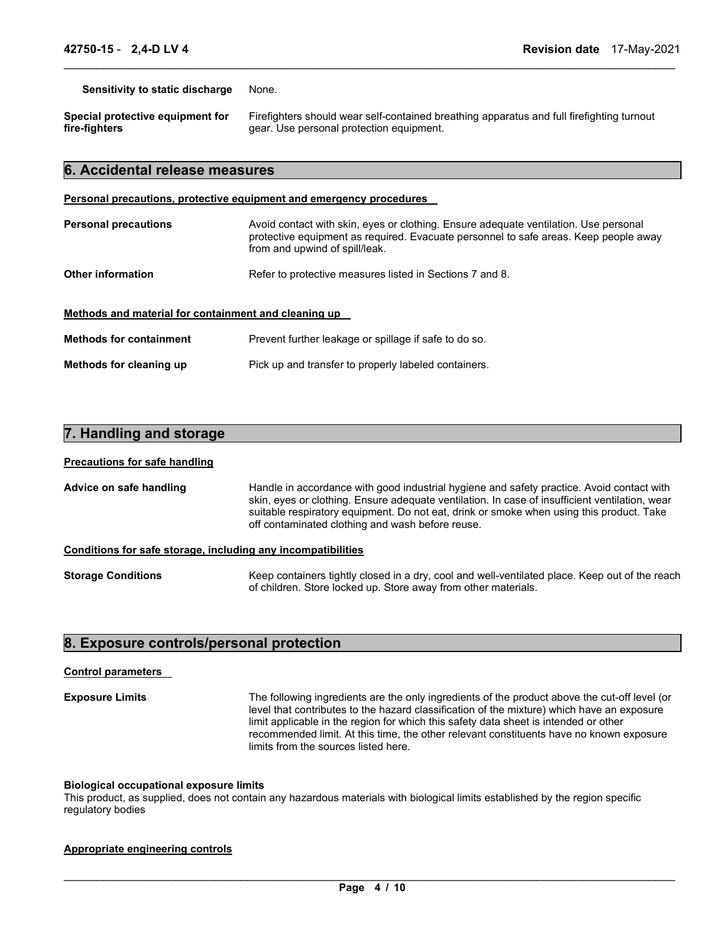**Sensitivity to static discharge** None.

**Special protective equipment for fire-fighters** 

Firefighters should wear self-contained breathing apparatus and full firefighting turnout gear. Use personal protection equipment.

## **6. Accidental release measures**

## **Personal precautions, protective equipment and emergency procedures**

| <b>Personal precautions</b>                          | Avoid contact with skin, eyes or clothing. Ensure adequate ventilation. Use personal<br>protective equipment as required. Evacuate personnel to safe areas. Keep people away<br>from and upwind of spill/leak. |  |
|------------------------------------------------------|----------------------------------------------------------------------------------------------------------------------------------------------------------------------------------------------------------------|--|
| <b>Other information</b>                             | Refer to protective measures listed in Sections 7 and 8.                                                                                                                                                       |  |
| Methods and material for containment and cleaning up |                                                                                                                                                                                                                |  |
| <b>Methods for containment</b>                       | Prevent further leakage or spillage if safe to do so.                                                                                                                                                          |  |
| Methods for cleaning up                              | Pick up and transfer to properly labeled containers.                                                                                                                                                           |  |

\_\_\_\_\_\_\_\_\_\_\_\_\_\_\_\_\_\_\_\_\_\_\_\_\_\_\_\_\_\_\_\_\_\_\_\_\_\_\_\_\_\_\_\_\_\_\_\_\_\_\_\_\_\_\_\_\_\_\_\_\_\_\_\_\_\_\_\_\_\_\_\_\_\_\_\_\_\_\_\_\_\_\_\_\_\_\_\_\_\_\_\_\_

## **7. Handling and storage**

## **Precautions for safe handling**

| Advice on safe handling                                      | Handle in accordance with good industrial hygiene and safety practice. Avoid contact with<br>skin, eyes or clothing. Ensure adequate ventilation. In case of insufficient ventilation, wear<br>suitable respiratory equipment. Do not eat, drink or smoke when using this product. Take<br>off contaminated clothing and wash before reuse. |
|--------------------------------------------------------------|---------------------------------------------------------------------------------------------------------------------------------------------------------------------------------------------------------------------------------------------------------------------------------------------------------------------------------------------|
| Conditions for safe storage, including any incompatibilities |                                                                                                                                                                                                                                                                                                                                             |

**Storage Conditions** Keep containers tightly closed in a dry, cool and well-ventilated place. Keep out of the reach of children. Store locked up. Store away from other materials.

## **8. Exposure controls/personal protection**

### **Control parameters**

**Exposure Limits** The following ingredients are the only ingredients of the product above the cut-off level (or level that contributes to the hazard classification of the mixture) which have an exposure limit applicable in the region for which this safety data sheet is intended or other recommended limit. At this time, the other relevant constituents have no known exposure limits from the sources listed here.

### **Biological occupational exposure limits**

This product, as supplied, does not contain any hazardous materials with biological limits established by the region specific regulatory bodies

## **Appropriate engineering controls**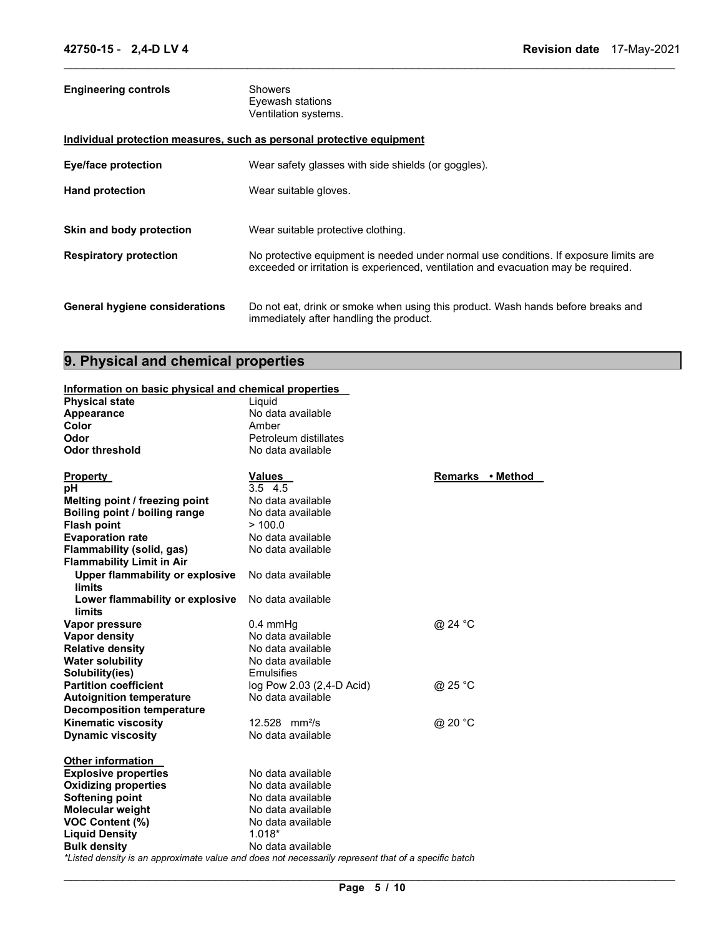| <b>Engineering controls</b>                                           | Showers<br>Eyewash stations<br>Ventilation systems.                                                                                                                         |
|-----------------------------------------------------------------------|-----------------------------------------------------------------------------------------------------------------------------------------------------------------------------|
| Individual protection measures, such as personal protective equipment |                                                                                                                                                                             |
| <b>Eye/face protection</b>                                            | Wear safety glasses with side shields (or goggles).                                                                                                                         |
| <b>Hand protection</b>                                                | Wear suitable gloves.                                                                                                                                                       |
|                                                                       |                                                                                                                                                                             |
| Skin and body protection                                              | Wear suitable protective clothing.                                                                                                                                          |
| <b>Respiratory protection</b>                                         | No protective equipment is needed under normal use conditions. If exposure limits are<br>exceeded or irritation is experienced, ventilation and evacuation may be required. |
| <b>General hygiene considerations</b>                                 | Do not eat, drink or smoke when using this product. Wash hands before breaks and<br>immediately after handling the product.                                                 |

\_\_\_\_\_\_\_\_\_\_\_\_\_\_\_\_\_\_\_\_\_\_\_\_\_\_\_\_\_\_\_\_\_\_\_\_\_\_\_\_\_\_\_\_\_\_\_\_\_\_\_\_\_\_\_\_\_\_\_\_\_\_\_\_\_\_\_\_\_\_\_\_\_\_\_\_\_\_\_\_\_\_\_\_\_\_\_\_\_\_\_\_\_

# **9. Physical and chemical properties**

|                       | Information on basic physical and chemical properties |
|-----------------------|-------------------------------------------------------|
| <b>Dhysical state</b> | استورا                                                |

| <b>Physical state</b>                                   | Liquid                                                                                              |                  |
|---------------------------------------------------------|-----------------------------------------------------------------------------------------------------|------------------|
| Appearance                                              | No data available                                                                                   |                  |
| Color                                                   | Amber                                                                                               |                  |
| Odor                                                    | Petroleum distillates                                                                               |                  |
| <b>Odor threshold</b>                                   | No data available                                                                                   |                  |
| <b>Property</b>                                         | <b>Values</b>                                                                                       | Remarks • Method |
| рH                                                      | $3.5$ 4.5                                                                                           |                  |
| Melting point / freezing point                          | No data available                                                                                   |                  |
| Boiling point / boiling range                           | No data available                                                                                   |                  |
| <b>Flash point</b>                                      | >100.0                                                                                              |                  |
| <b>Evaporation rate</b>                                 | No data available                                                                                   |                  |
| Flammability (solid, gas)                               | No data available                                                                                   |                  |
| <b>Flammability Limit in Air</b>                        |                                                                                                     |                  |
| <b>Upper flammability or explosive</b><br><b>limits</b> | No data available                                                                                   |                  |
| Lower flammability or explosive<br>limits               | No data available                                                                                   |                  |
| Vapor pressure                                          | $0.4$ mmHq                                                                                          | @ 24 °C          |
| <b>Vapor density</b>                                    | No data available                                                                                   |                  |
| <b>Relative density</b>                                 | No data available                                                                                   |                  |
| <b>Water solubility</b>                                 | No data available                                                                                   |                  |
| Solubility(ies)                                         | Emulsifies                                                                                          |                  |
| <b>Partition coefficient</b>                            | log Pow 2.03 (2,4-D Acid)                                                                           | @ 25 °C          |
| <b>Autoignition temperature</b>                         | No data available                                                                                   |                  |
| <b>Decomposition temperature</b>                        |                                                                                                     |                  |
| <b>Kinematic viscosity</b>                              | 12.528 mm <sup>2</sup> /s                                                                           | @ 20 °C          |
| <b>Dynamic viscosity</b>                                | No data available                                                                                   |                  |
| <b>Other information</b>                                |                                                                                                     |                  |
| <b>Explosive properties</b>                             | No data available                                                                                   |                  |
| <b>Oxidizing properties</b>                             | No data available                                                                                   |                  |
| Softening point                                         | No data available                                                                                   |                  |
| <b>Molecular weight</b>                                 | No data available                                                                                   |                  |
| <b>VOC Content (%)</b>                                  | No data available                                                                                   |                  |
| <b>Liquid Density</b>                                   | $1.018*$                                                                                            |                  |
| <b>Bulk density</b>                                     | No data available                                                                                   |                  |
|                                                         | *Listed density is an approximate value and does not necessarily represent that of a specific batch |                  |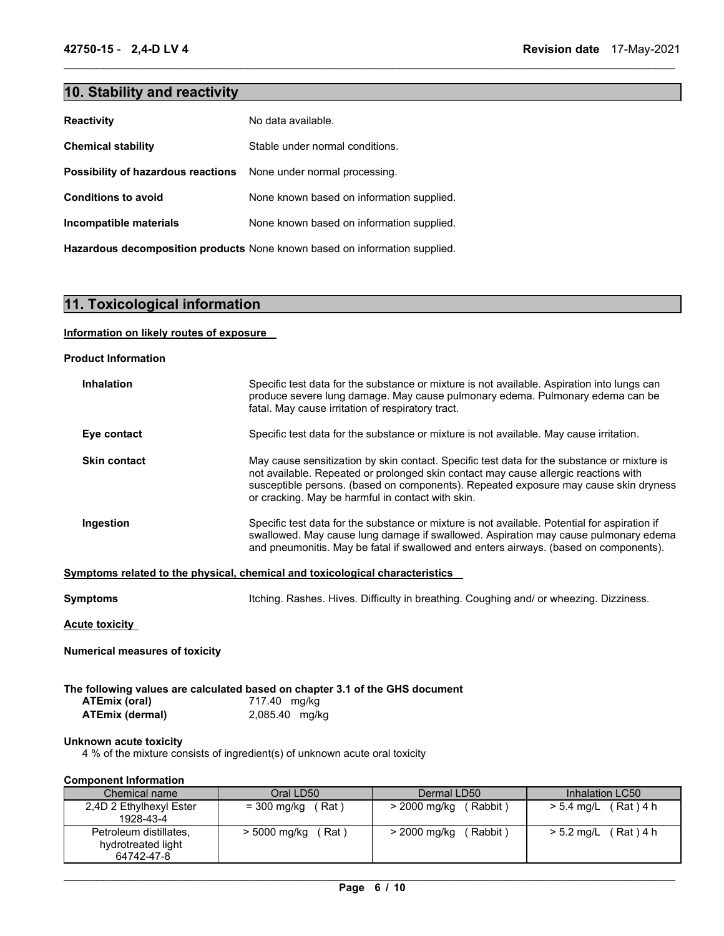## **10. Stability and reactivity**

| <b>Reactivity</b>                  | No data available.                        |
|------------------------------------|-------------------------------------------|
| <b>Chemical stability</b>          | Stable under normal conditions.           |
| Possibility of hazardous reactions | None under normal processing.             |
| <b>Conditions to avoid</b>         | None known based on information supplied. |
| Incompatible materials             | None known based on information supplied. |
|                                    |                                           |

**Hazardous decomposition products** None known based on information supplied.

## **11. Toxicological information**

## **Information on likely routes of exposure**

## **Product Information**

| <b>Inhalation</b>   | Specific test data for the substance or mixture is not available. Aspiration into lungs can<br>produce severe lung damage. May cause pulmonary edema. Pulmonary edema can be<br>fatal. May cause irritation of respiratory tract.                                                                                               |
|---------------------|---------------------------------------------------------------------------------------------------------------------------------------------------------------------------------------------------------------------------------------------------------------------------------------------------------------------------------|
| Eye contact         | Specific test data for the substance or mixture is not available. May cause irritation.                                                                                                                                                                                                                                         |
| <b>Skin contact</b> | May cause sensitization by skin contact. Specific test data for the substance or mixture is<br>not available. Repeated or prolonged skin contact may cause allergic reactions with<br>susceptible persons. (based on components). Repeated exposure may cause skin dryness<br>or cracking. May be harmful in contact with skin. |
| Ingestion           | Specific test data for the substance or mixture is not available. Potential for aspiration if<br>swallowed. May cause lung damage if swallowed. Aspiration may cause pulmonary edema<br>and pneumonitis. May be fatal if swallowed and enters airways. (based on components).                                                   |
|                     | Symptoms related to the physical, chemical and toxicological characteristics                                                                                                                                                                                                                                                    |
| Symptoms            | Itching. Rashes. Hives. Difficulty in breathing. Coughing and/ or wheezing. Dizziness.                                                                                                                                                                                                                                          |

\_\_\_\_\_\_\_\_\_\_\_\_\_\_\_\_\_\_\_\_\_\_\_\_\_\_\_\_\_\_\_\_\_\_\_\_\_\_\_\_\_\_\_\_\_\_\_\_\_\_\_\_\_\_\_\_\_\_\_\_\_\_\_\_\_\_\_\_\_\_\_\_\_\_\_\_\_\_\_\_\_\_\_\_\_\_\_\_\_\_\_\_\_

**Acute toxicity** 

**Numerical measures of toxicity**

**The following values are calculated based on chapter 3.1 of the GHS document ATEmix (oral)**  $717.40$  mg/kg **ATEmix (oral)** 717.40 mg/kg **ATEmix (dermal)** 2,085.40 mg/kg

## **Unknown acute toxicity**

4 % of the mixture consists of ingredient(s) of unknown acute oral toxicity

## **Component Information**

| Chemical name                                              | Oral LD50               | Dermal LD50              | Inhalation LC50          |
|------------------------------------------------------------|-------------------------|--------------------------|--------------------------|
| 2,4D 2 Ethylhexyl Ester<br>1928-43-4                       | = 300 mg/kg<br>Rat )    | (Rabbit)<br>> 2000 mg/kg | $> 5.4$ mg/L<br>(Rat)4 h |
| Petroleum distillates,<br>hydrotreated light<br>64742-47-8 | ′ Rat `<br>> 5000 mg/kg | Rabbit)<br>> 2000 mg/kg  | (Rat)4 h<br>$> 5.2$ mg/L |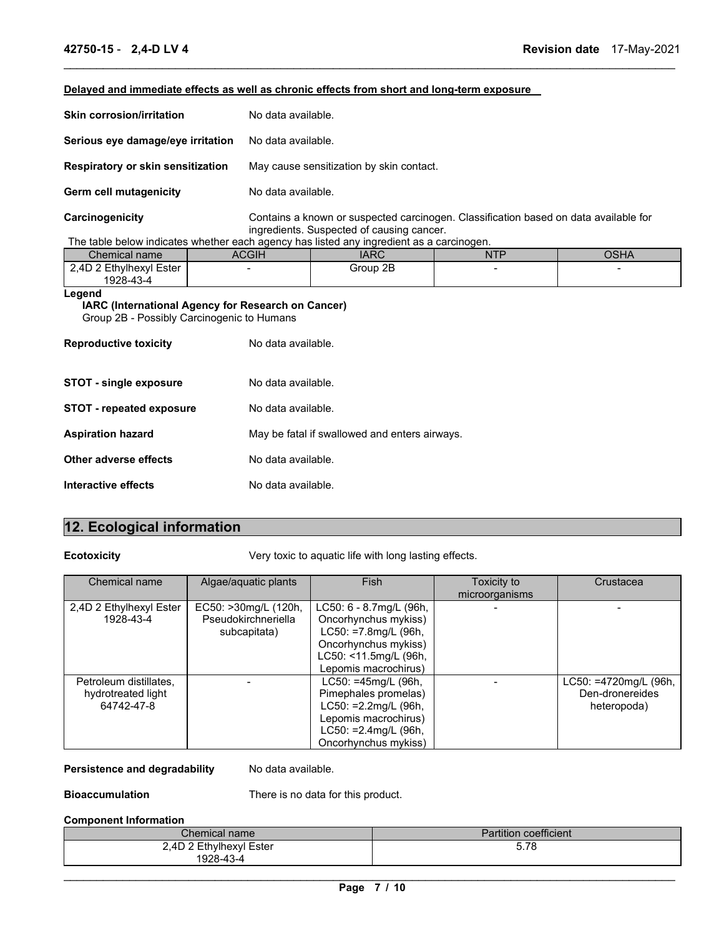## **Delayed and immediate effects as well as chronic effects from short and long-term exposure**

| <b>Skin corrosion/irritation</b>  | No data available.                                                                   |
|-----------------------------------|--------------------------------------------------------------------------------------|
| Serious eye damage/eye irritation | No data available.                                                                   |
| Respiratory or skin sensitization | May cause sensitization by skin contact.                                             |
| Germ cell mutagenicity            | No data available.                                                                   |
| Carcinogenicity                   | Contains a known or suspected carcinogen. Classification based on data available for |

\_\_\_\_\_\_\_\_\_\_\_\_\_\_\_\_\_\_\_\_\_\_\_\_\_\_\_\_\_\_\_\_\_\_\_\_\_\_\_\_\_\_\_\_\_\_\_\_\_\_\_\_\_\_\_\_\_\_\_\_\_\_\_\_\_\_\_\_\_\_\_\_\_\_\_\_\_\_\_\_\_\_\_\_\_\_\_\_\_\_\_\_\_

ingredients. Suspected of causing cancer. The table below indicates whether each agency has listed any ingredient as a carcinogen.

| Chemical name                        | ACGIH | <b>IARC</b> | <b>NTP</b> | OSHA |
|--------------------------------------|-------|-------------|------------|------|
| 2.4D 2 Ethvlhexvl Ester<br>1928-43-4 |       | Group 2B    |            |      |
|                                      |       |             |            |      |

## **Legend**

**IARC (International Agency for Research on Cancer)** Group 2B - Possibly Carcinogenic to Humans

| <b>Reproductive toxicity</b> | No data available.                            |
|------------------------------|-----------------------------------------------|
| STOT - single exposure       | No data available.                            |
| STOT - repeated exposure     | No data available.                            |
| Aspiration hazard            | May be fatal if swallowed and enters airways. |
| Other adverse effects        | No data available.                            |
| Interactive effects          | No data available.                            |

## **12. Ecological information**

**Ecotoxicity Very toxic to aquatic life with long lasting effects.** 

| Chemical name                                              | Algae/aquatic plants                                        | <b>Fish</b>                                                                                                                                          | Toxicity to<br>microorganisms | Crustacea                                               |
|------------------------------------------------------------|-------------------------------------------------------------|------------------------------------------------------------------------------------------------------------------------------------------------------|-------------------------------|---------------------------------------------------------|
| 2,4D 2 Ethylhexyl Ester<br>1928-43-4                       | EC50: >30mg/L (120h,<br>Pseudokirchneriella<br>subcapitata) | LC50: 6 - 8.7mg/L (96h,<br>Oncorhynchus mykiss)<br>$LC50: = 7.8$ mg/L (96h,<br>Oncorhynchus mykiss)<br>LC50: <11.5mg/L (96h,<br>Lepomis macrochirus) |                               |                                                         |
| Petroleum distillates.<br>hydrotreated light<br>64742-47-8 |                                                             | LC50: =45mg/L (96h,<br>Pimephales promelas)<br>$LC50: =2.2$ mg/L (96h,<br>Lepomis macrochirus)<br>$LC50: =2.4$ mg/L (96h,<br>Oncorhynchus mykiss)    |                               | LC50: =4720mg/L (96h,<br>Den-dronereides<br>heteropoda) |

Persistence and degradability No data available.

**Bioaccumulation** There is no data for this product.

## **Component Information**

| $\mathcal L$ hemical name / | <b>Partition coefficient</b> |
|-----------------------------|------------------------------|
| 2,4D 2 Ethylhexyl Ester     | - - -<br><u>ວ. ເ ດ</u>       |
| 1928-43-4                   |                              |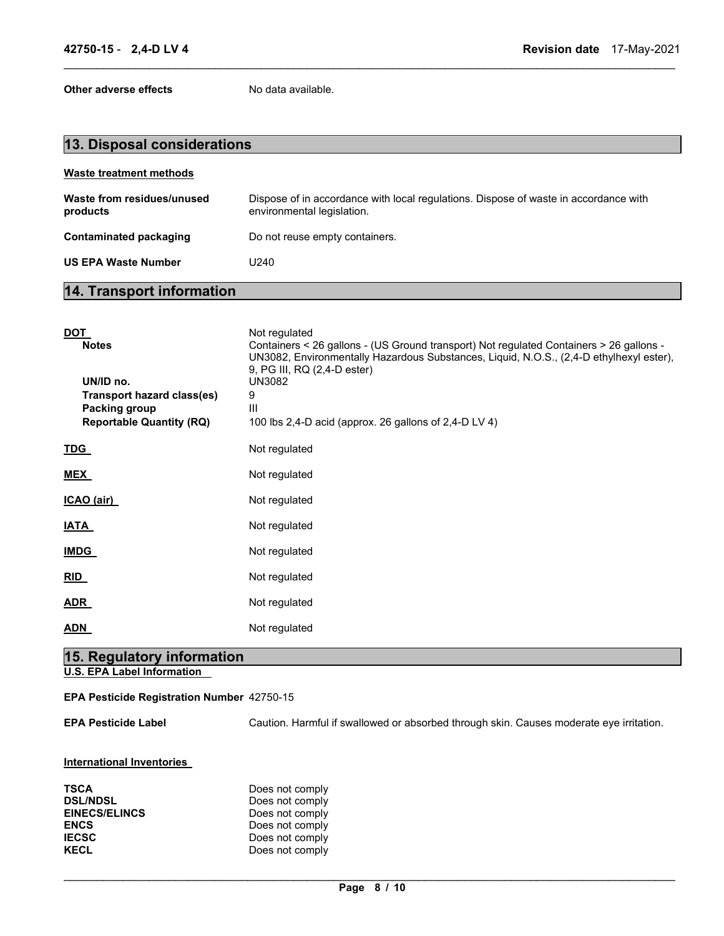**Other adverse effects** No data available.

| 13. Disposal considerations            |                                                                                                                    |  |
|----------------------------------------|--------------------------------------------------------------------------------------------------------------------|--|
| <b>Waste treatment methods</b>         |                                                                                                                    |  |
| Waste from residues/unused<br>products | Dispose of in accordance with local regulations. Dispose of waste in accordance with<br>environmental legislation. |  |
| Contaminated packaging                 | Do not reuse empty containers.                                                                                     |  |
| <b>US EPA Waste Number</b>             | U240                                                                                                               |  |
|                                        |                                                                                                                    |  |

\_\_\_\_\_\_\_\_\_\_\_\_\_\_\_\_\_\_\_\_\_\_\_\_\_\_\_\_\_\_\_\_\_\_\_\_\_\_\_\_\_\_\_\_\_\_\_\_\_\_\_\_\_\_\_\_\_\_\_\_\_\_\_\_\_\_\_\_\_\_\_\_\_\_\_\_\_\_\_\_\_\_\_\_\_\_\_\_\_\_\_\_\_

## **14. Transport information**

| <u>DOT</u><br><b>Notes</b><br>UN/ID no.<br>Transport hazard class(es)<br>Packing group<br><b>Reportable Quantity (RQ)</b> | Not regulated<br>Containers < 26 gallons - (US Ground transport) Not regulated Containers > 26 gallons -<br>UN3082, Environmentally Hazardous Substances, Liquid, N.O.S., (2,4-D ethylhexyl ester),<br>9, PG III, RQ (2,4-D ester)<br><b>UN3082</b><br>9<br>Ш<br>100 lbs 2,4-D acid (approx. 26 gallons of 2,4-D LV 4) |
|---------------------------------------------------------------------------------------------------------------------------|------------------------------------------------------------------------------------------------------------------------------------------------------------------------------------------------------------------------------------------------------------------------------------------------------------------------|
| <u>TDG_</u>                                                                                                               | Not regulated                                                                                                                                                                                                                                                                                                          |
| <b>MEX</b>                                                                                                                | Not regulated                                                                                                                                                                                                                                                                                                          |
| ICAO (air)                                                                                                                | Not regulated                                                                                                                                                                                                                                                                                                          |
| <u>IATA</u>                                                                                                               | Not regulated                                                                                                                                                                                                                                                                                                          |
| <u>IMDG</u>                                                                                                               | Not regulated                                                                                                                                                                                                                                                                                                          |
| RID                                                                                                                       | Not regulated                                                                                                                                                                                                                                                                                                          |
| <b>ADR</b>                                                                                                                | Not regulated                                                                                                                                                                                                                                                                                                          |
| <b>ADN</b>                                                                                                                | Not regulated                                                                                                                                                                                                                                                                                                          |
| 15. Regulatory information                                                                                                |                                                                                                                                                                                                                                                                                                                        |

**U.S. EPA Label Information** 

## **EPA Pesticide Registration Number** 42750-15

**EPA Pesticide Label** Caution. Harmful if swallowed or absorbed through skin. Causes moderate eye irritation.

## **International Inventories**

| <b>TSCA</b>          | Does not comply |
|----------------------|-----------------|
| <b>DSL/NDSL</b>      | Does not comply |
| <b>EINECS/ELINCS</b> | Does not comply |
| <b>ENCS</b>          | Does not comply |
| <b>IECSC</b>         | Does not comply |
| <b>KECL</b>          | Does not comply |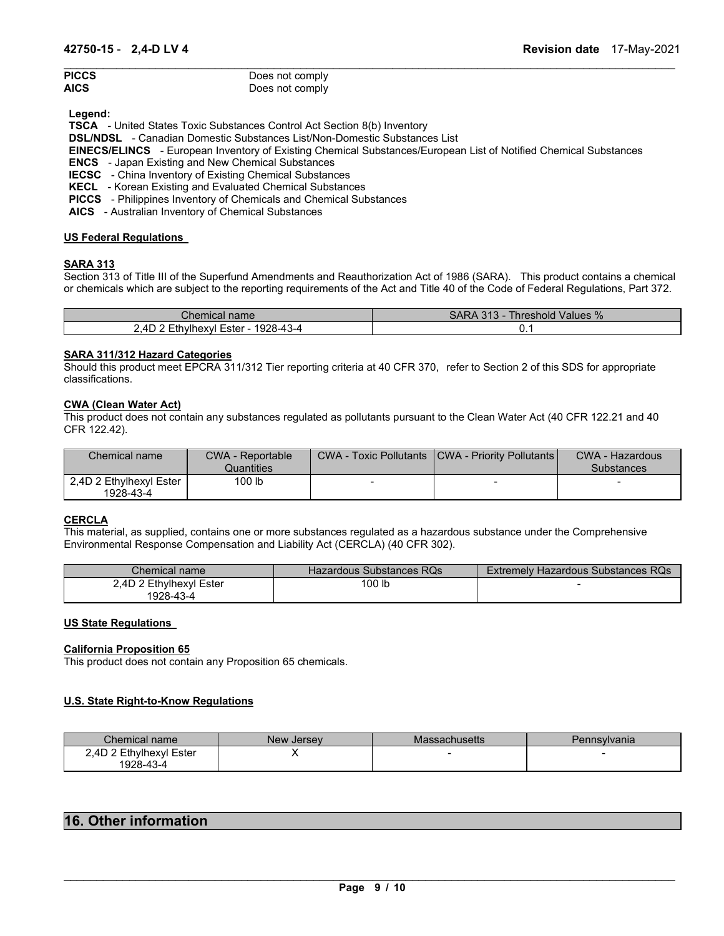| <b>PICCS</b> | Does not comply |
|--------------|-----------------|
| AICS         | Does not comply |

**Legend:** 

**TSCA** - United States Toxic Substances Control Act Section 8(b) Inventory

**DSL/NDSL** - Canadian Domestic Substances List/Non-Domestic Substances List

**EINECS/ELINCS** - European Inventory of Existing Chemical Substances/European List of Notified Chemical Substances

\_\_\_\_\_\_\_\_\_\_\_\_\_\_\_\_\_\_\_\_\_\_\_\_\_\_\_\_\_\_\_\_\_\_\_\_\_\_\_\_\_\_\_\_\_\_\_\_\_\_\_\_\_\_\_\_\_\_\_\_\_\_\_\_\_\_\_\_\_\_\_\_\_\_\_\_\_\_\_\_\_\_\_\_\_\_\_\_\_\_\_\_\_

**ENCS** - Japan Existing and New Chemical Substances

**IECSC** - China Inventory of Existing Chemical Substances

**KECL** - Korean Existing and Evaluated Chemical Substances

**PICCS** - Philippines Inventory of Chemicals and Chemical Substances

**AICS** - Australian Inventory of Chemical Substances

## **US Federal Regulations**

## **SARA 313**

Section 313 of Title III of the Superfund Amendments and Reauthorization Act of 1986 (SARA). This product contains a chemical or chemicals which are subject to the reporting requirements of the Act and Title 40 of the Code of Federal Regulations, Part 372.

| Chemical name∵                                    | Threshold Values %<br>SARA 313 - 7 |
|---------------------------------------------------|------------------------------------|
| Ethylhexyl Ester - 1928-43-4<br>∠.4D <sup>∽</sup> | ັ. ເ                               |

## **SARA 311/312 Hazard Categories**

Should this product meet EPCRA 311/312 Tier reporting criteria at 40 CFR 370, refer to Section 2 of this SDS for appropriate classifications.

## **CWA (Clean Water Act)**

This product does not contain any substances regulated as pollutants pursuant to the Clean Water Act (40 CFR 122.21 and 40 CFR 122.42).

| Chemical name                        | <b>CWA - Reportable</b><br>Quantities | <b>CWA - Toxic Pollutants</b> | <b>ICWA - Priority Pollutants I</b> | <b>CWA - Hazardous</b><br><b>Substances</b> |
|--------------------------------------|---------------------------------------|-------------------------------|-------------------------------------|---------------------------------------------|
| 2.4D 2 Ethylhexyl Ester<br>1928-43-4 | 100 lb                                |                               | $\sim$                              |                                             |

## **CERCLA**

This material, as supplied, contains one or more substances regulated as a hazardous substance under the Comprehensive Environmental Response Compensation and Liability Act (CERCLA) (40 CFR 302).

| Chemical name           | Hazardous Substances RQs | <b>Extremely Hazardous Substances RQs</b> |
|-------------------------|--------------------------|-------------------------------------------|
| 2,4D 2 Ethylhexyl Ester | 100 lb                   |                                           |
| 1928-43-4               |                          |                                           |

## **US State Regulations**

## **California Proposition 65**

This product does not contain any Proposition 65 chemicals.

## **U.S. State Right-to-Know Regulations**

| Chemical name           | New Jersey | Massachusetts | Pennsylvania |
|-------------------------|------------|---------------|--------------|
| 2.4D 2 Ethylhexyl Ester |            |               |              |
| 1928-43-4               |            |               |              |

## **16. Other information**